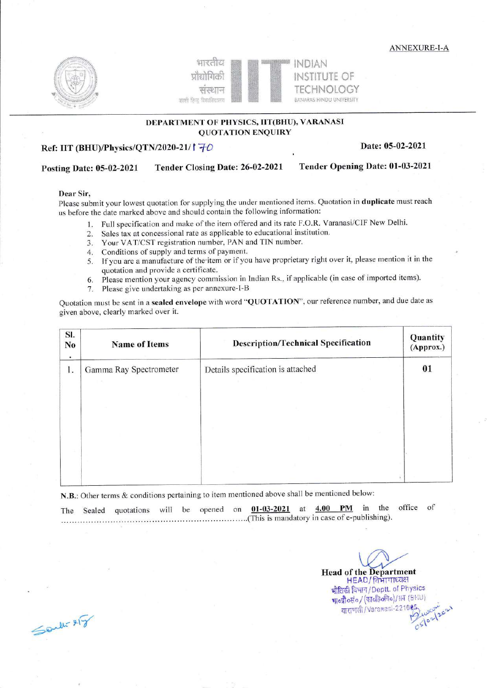ANNEXURE-I-A







## DEPARTMENT OF PHYSICS, IIT(BHU), VARANASI QUOTATION ENQUTRY

# Ref: IIT (BHU)/Physics/QTN/2020-21/1  $\frac{1}{10}$  Date: 05-02-2021

# Posting Date: 05-02-2021 Tender Closing Datez 26-02-2021 Tender Opening Date: 01-03-2021

## Dear Sir,

please submit your lowest quotation for supplying the under mentioned items. Quotation in duplicate must reach us before the date marked above and should contain the following infonnation:

- 1. Full specification and make of the item offered and its rate F.O.R. Varanasi/ClF New Delhi.
- 2. Sales tax at concessional rate as applicable to educational institution.
- 3. Your VAT/CST registration number, PAN and TIN number.
- 4. Conditions of supply and terms of payment.
- 5. If you are a manufacture of the'item or if you have proprietary right over it, please mention it in the quotation and provide a certificate.
- 6. Please mention your agency commission in Indian Rs., if applicable (in case of imported items).
- 7. Please give undertaking as per annexure-l-B

Quotation must be sent in a sealed envelope with word "QUOTATION", our reference number, and due date as given above, clearly marked over it.

| SI.<br>No<br>۰ | <b>Name of Items</b>   | <b>Description/Technical Specification</b> |    |  |  |
|----------------|------------------------|--------------------------------------------|----|--|--|
| 1.             | Gamma Ray Spectrometer | Details specification is attached          | 01 |  |  |
|                |                        |                                            |    |  |  |
|                |                        |                                            |    |  |  |
|                |                        |                                            |    |  |  |

N.B.: Other terms & conditions pertaining to item mentioned above shall be mentioned below:

The Sealed quotations will be opened on  $0.1-0.3-2.021$  at  $4.00$  PM in the office of (This is mandatory in case of e-publishing).

> **Head of the Department** HEAD/ विभागाध्यक्ष भौतिकी विभाग/Deptt. of Physics qoff "do / (stoft &o) / l.t;r (B''i u ) वाराणसी/Varaxasi-221085 05/02/202

 $\leq$  and  $x \in \mathbb{R}$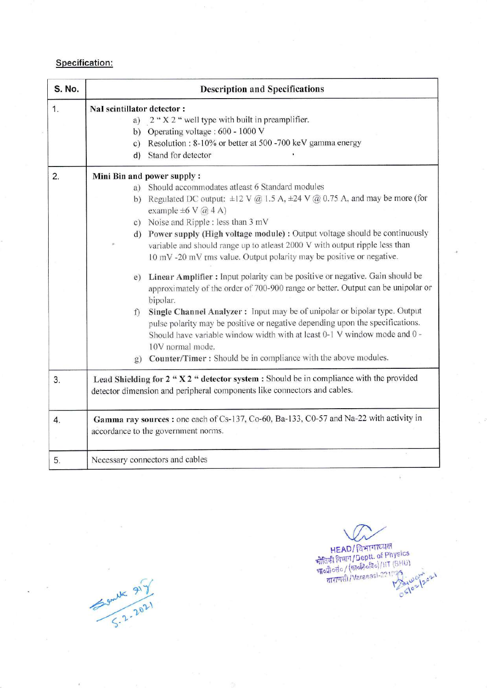# Specification:

| S. No. | <b>Description and Specifications</b>                                                                                                                                                                                                                                                                                                                                                                                                                                                                                                                                                                                                                                                                                                                                                                                                                                                                                                                                                                                                                     |  |  |  |  |  |
|--------|-----------------------------------------------------------------------------------------------------------------------------------------------------------------------------------------------------------------------------------------------------------------------------------------------------------------------------------------------------------------------------------------------------------------------------------------------------------------------------------------------------------------------------------------------------------------------------------------------------------------------------------------------------------------------------------------------------------------------------------------------------------------------------------------------------------------------------------------------------------------------------------------------------------------------------------------------------------------------------------------------------------------------------------------------------------|--|--|--|--|--|
| 1.     | NaI scintillator detector :<br>a) $2 \cdot X 2 \cdot Y$ well type with built in preamplifier.<br>b) Operating voltage : $600 - 1000$ V<br>c) Resolution : 8-10% or better at 500 -700 keV gamma energy<br>Stand for detector<br>d)                                                                                                                                                                                                                                                                                                                                                                                                                                                                                                                                                                                                                                                                                                                                                                                                                        |  |  |  |  |  |
| 2.     | Mini Bin and power supply:<br>Should accommodates atleast 6 Standard modules<br>a)<br>b) Regulated DC output: $\pm 12 \text{ V}$ @ 1.5 A, $\pm 24 \text{ V}$ @ 0.75 A, and may be more (for<br>example $\pm 6 \text{ V}$ @ 4 A)<br>c) Noise and Ripple : less than $3 \text{ mV}$<br>d) Power supply (High voltage module) : Output voltage should be continuously<br>variable and should range up to atleast 2000 V with output ripple less than<br>10 mV -20 mV rms value. Output polarity may be positive or negative.<br>Linear Amplifier : Input polarity can be positive or negative. Gain should be<br>e)<br>approximately of the order of 700-900 range or better. Output can be unipolar or<br>bipolar.<br>Single Channel Analyzer: Input may be of unipolar or bipolar type. Output<br>f<br>pulse polarity may be positive or negative depending upon the specifications.<br>Should have variable window width with at least 0-1 V window mode and 0 -<br>10V normal mode.<br>g) Counter/Timer: Should be in compliance with the above modules. |  |  |  |  |  |
| 3.     | Lead Shielding for $2 \cdot X 2 \cdot 4$ detector system : Should be in compliance with the provided<br>detector dimension and peripheral components like connectors and cables.                                                                                                                                                                                                                                                                                                                                                                                                                                                                                                                                                                                                                                                                                                                                                                                                                                                                          |  |  |  |  |  |
| 4.     | Gamma ray sources: one each of Cs-137, Co-60, Ba-133, C0-57 and Na-22 with activity in<br>accordance to the government norms.                                                                                                                                                                                                                                                                                                                                                                                                                                                                                                                                                                                                                                                                                                                                                                                                                                                                                                                             |  |  |  |  |  |
| 5.     | Necessary connectors and cables                                                                                                                                                                                                                                                                                                                                                                                                                                                                                                                                                                                                                                                                                                                                                                                                                                                                                                                                                                                                                           |  |  |  |  |  |

Sende 217

HEAD/ विभागाध्यक्ष<br>पौतिकी विधाग/Deptt. of Physics<br>भाव्यौव्हांव (सार्वहेदविव)/IIT (BHU)<br>वाराणसी/Varanasi-221025 : wey ask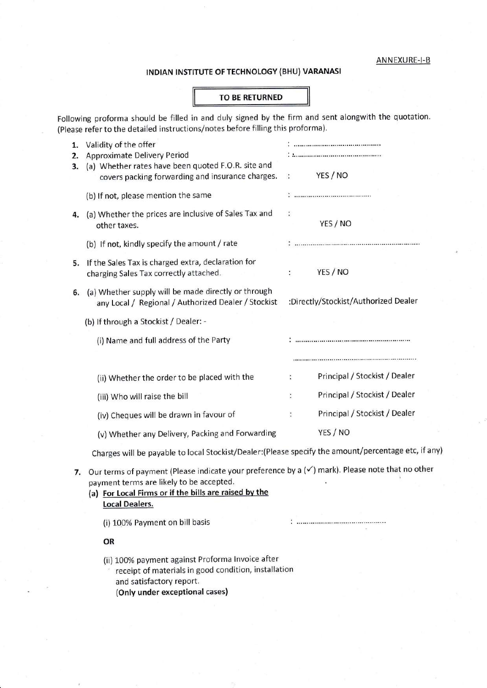#### ANNEXU RE-I-B

### tNDIAN tNSTITUTE OF TECHNOLOGY (BHU) VARANASI

#### TO BE RETURNED

Following proforma should be filled in and duly signed by the firm and sent alongwith the quotation. (Please refer to the detaifed instructions/notes before filling this proforma).

| 1.<br>2. | Validity of the offer<br><b>Approximate Delivery Period</b>                                                                                            |                |                                      |
|----------|--------------------------------------------------------------------------------------------------------------------------------------------------------|----------------|--------------------------------------|
| 3.       | (a) Whether rates have been quoted F.O.R. site and<br>covers packing forwarding and insurance charges.                                                 | $\ddot{\cdot}$ | YES / NO                             |
|          | (b) If not, please mention the same                                                                                                                    |                |                                      |
| 4.       | (a) Whether the prices are inclusive of Sales Tax and<br>other taxes.                                                                                  | $\ddot{\cdot}$ | YES / NO                             |
|          | (b) If not, kindly specify the amount / rate                                                                                                           |                |                                      |
|          | 5. If the Sales Tax is charged extra, declaration for<br>charging Sales Tax correctly attached.                                                        | ÷              | YES / NO                             |
| 6.       | (a) Whether supply will be made directly or through<br>any Local / Regional / Authorized Dealer / Stockist                                             |                | :Directly/Stockist/Authorized Dealer |
|          | (b) If through a Stockist / Dealer: -                                                                                                                  |                |                                      |
|          | (i) Name and full address of the Party                                                                                                                 |                |                                      |
|          |                                                                                                                                                        |                |                                      |
|          | (ii) Whether the order to be placed with the                                                                                                           | t              | Principal / Stockist / Dealer        |
|          | (iii) Who will raise the bill                                                                                                                          | ÷              | Principal / Stockist / Dealer        |
|          | (iv) Cheques will be drawn in favour of                                                                                                                | $\ddot{\cdot}$ | Principal / Stockist / Dealer        |
|          | (v) Whether any Delivery, Packing and Forwarding                                                                                                       |                | YES / NO                             |
|          | Charges will be payable to local Stockist/Dealer: (Please specify the amount/percentage etc, if any)                                                   |                |                                      |
| 7.       | Our terms of payment (Please indicate your preference by a $(\checkmark)$ mark). Please note that no other<br>payment terms are likely to be accepted. |                |                                      |

(a) For Local Firms or if the bills are raised by the Local Dealers.

(i) 10O% Payment on bill basis

OR

1. Validity of the offer

- (ii) 100% payment against Proforma lnvoice after
- receipt of materials in good condition, installation and satisfactory report. (Only under exceptional cases)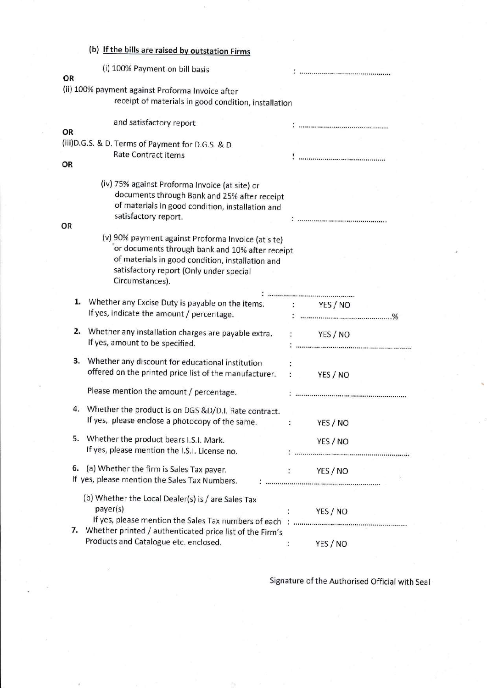|    | (b) If the bills are raised by outstation Firms                                                                                                                                                                         |                            |          |  |
|----|-------------------------------------------------------------------------------------------------------------------------------------------------------------------------------------------------------------------------|----------------------------|----------|--|
| OR | (i) 100% Payment on bill basis                                                                                                                                                                                          |                            |          |  |
|    | (ii) 100% payment against Proforma Invoice after<br>receipt of materials in good condition, installation                                                                                                                |                            |          |  |
| OR | and satisfactory report                                                                                                                                                                                                 |                            |          |  |
| OR | (iii) D.G.S. & D. Terms of Payment for D.G.S. & D<br><b>Rate Contract items</b>                                                                                                                                         |                            |          |  |
|    | (iv) 75% against Proforma Invoice (at site) or<br>documents through Bank and 25% after receipt<br>of materials in good condition, installation and                                                                      |                            |          |  |
| OR | satisfactory report.                                                                                                                                                                                                    |                            |          |  |
|    | (v) 90% payment against Proforma Invoice (at site)<br>or documents through bank and 10% after receipt<br>of materials in good condition, installation and<br>satisfactory report (Only under special<br>Circumstances). |                            |          |  |
| 1. |                                                                                                                                                                                                                         |                            |          |  |
|    | Whether any Excise Duty is payable on the items. : YES / NO<br>If yes, indicate the amount / percentage.                                                                                                                |                            |          |  |
| 2. | Whether any installation charges are payable extra. :<br>If yes, amount to be specified.                                                                                                                                |                            | YES / NO |  |
| 3. | Whether any discount for educational institution<br>offered on the printed price list of the manufacturer.                                                                                                              | $\mathcal{L}_{\text{max}}$ | YES / NO |  |
|    | Please mention the amount / percentage.                                                                                                                                                                                 |                            |          |  |
| 4. | Whether the product is on DGS &D/D.I. Rate contract.<br>If yes, please enclose a photocopy of the same.                                                                                                                 | ÷                          | YES / NO |  |
| 5. | Whether the product bears I.S.I. Mark.<br>If yes, please mention the I.S.I. License no.                                                                                                                                 |                            | YES / NO |  |
| 6. | (a) Whether the firm is Sales Tax payer.<br>If yes, please mention the Sales Tax Numbers.                                                                                                                               |                            | YES / NO |  |
|    | (b) Whether the Local Dealer(s) is / are Sales Tax<br>payer(s)                                                                                                                                                          |                            | YES / NO |  |
|    | 7. Whether printed / authenticated price list of the Firm's<br>Products and Catalogue etc. enclosed.                                                                                                                    | $\ddot{\cdot}$             | YES / NO |  |

Signature of the Authorised Official with Seal